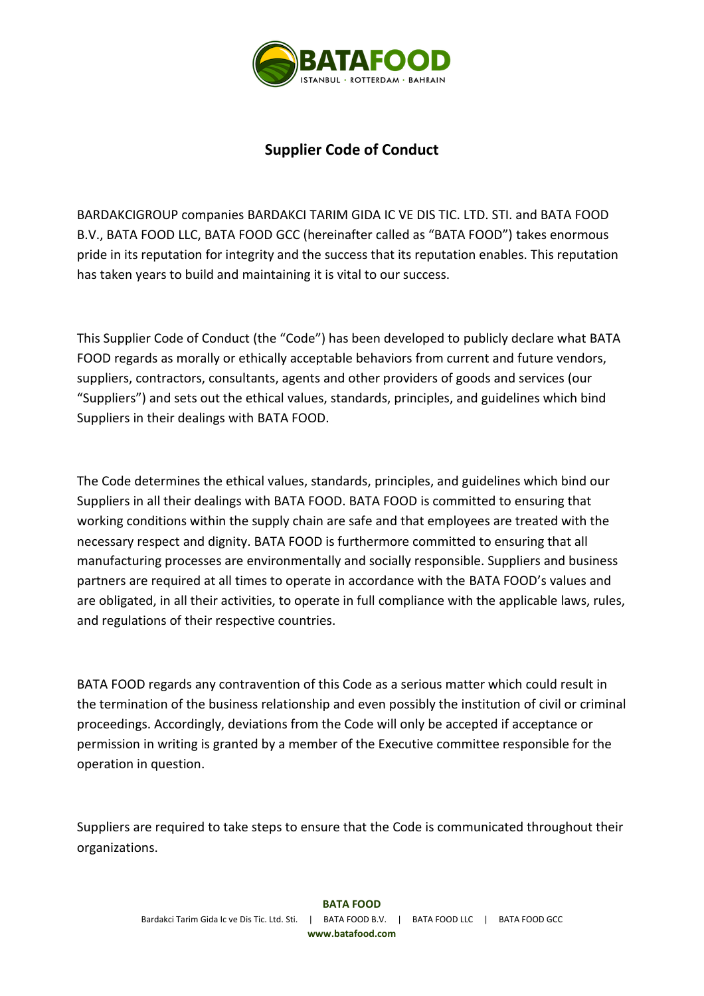

# **Supplier Code of Conduct**

BARDAKCIGROUP companies BARDAKCI TARIM GIDA IC VE DIS TIC. LTD. STI. and BATA FOOD B.V., BATA FOOD LLC, BATA FOOD GCC (hereinafter called as "BATA FOOD") takes enormous pride in its reputation for integrity and the success that its reputation enables. This reputation has taken years to build and maintaining it is vital to our success.

This Supplier Code of Conduct (the "Code") has been developed to publicly declare what BATA FOOD regards as morally or ethically acceptable behaviors from current and future vendors, suppliers, contractors, consultants, agents and other providers of goods and services (our "Suppliers") and sets out the ethical values, standards, principles, and guidelines which bind Suppliers in their dealings with BATA FOOD.

The Code determines the ethical values, standards, principles, and guidelines which bind our Suppliers in all their dealings with BATA FOOD. BATA FOOD is committed to ensuring that working conditions within the supply chain are safe and that employees are treated with the necessary respect and dignity. BATA FOOD is furthermore committed to ensuring that all manufacturing processes are environmentally and socially responsible. Suppliers and business partners are required at all times to operate in accordance with the BATA FOOD's values and are obligated, in all their activities, to operate in full compliance with the applicable laws, rules, and regulations of their respective countries.

BATA FOOD regards any contravention of this Code as a serious matter which could result in the termination of the business relationship and even possibly the institution of civil or criminal proceedings. Accordingly, deviations from the Code will only be accepted if acceptance or permission in writing is granted by a member of the Executive committee responsible for the operation in question.

Suppliers are required to take steps to ensure that the Code is communicated throughout their organizations.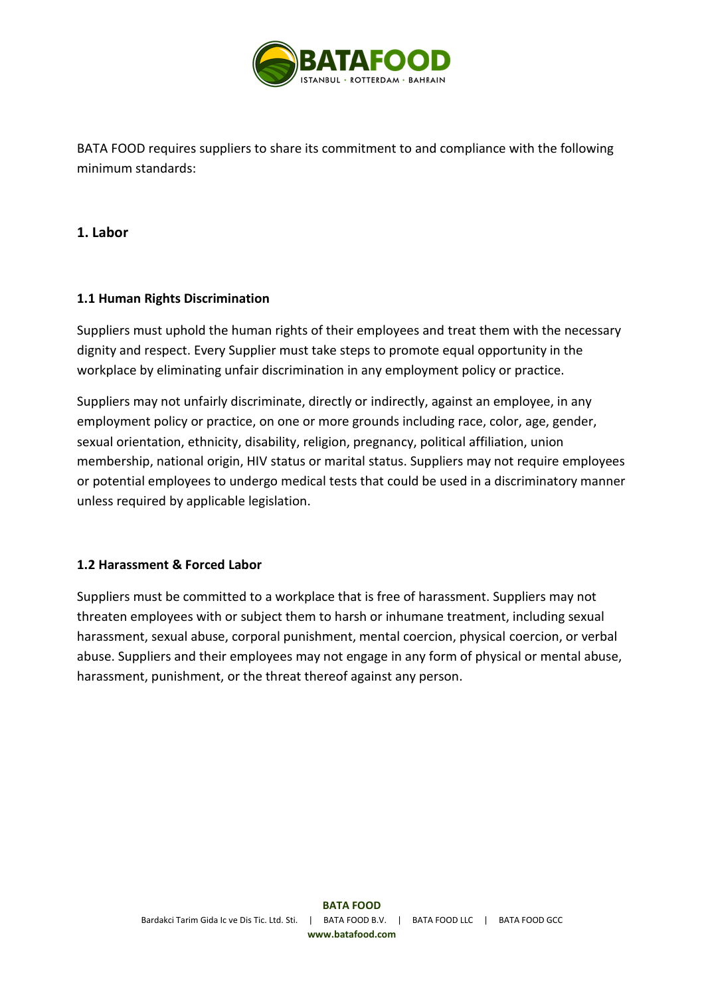

BATA FOOD requires suppliers to share its commitment to and compliance with the following minimum standards:

### **1. Labor**

### **1.1 Human Rights Discrimination**

Suppliers must uphold the human rights of their employees and treat them with the necessary dignity and respect. Every Supplier must take steps to promote equal opportunity in the workplace by eliminating unfair discrimination in any employment policy or practice.

Suppliers may not unfairly discriminate, directly or indirectly, against an employee, in any employment policy or practice, on one or more grounds including race, color, age, gender, sexual orientation, ethnicity, disability, religion, pregnancy, political affiliation, union membership, national origin, HIV status or marital status. Suppliers may not require employees or potential employees to undergo medical tests that could be used in a discriminatory manner unless required by applicable legislation.

#### **1.2 Harassment & Forced Labor**

Suppliers must be committed to a workplace that is free of harassment. Suppliers may not threaten employees with or subject them to harsh or inhumane treatment, including sexual harassment, sexual abuse, corporal punishment, mental coercion, physical coercion, or verbal abuse. Suppliers and their employees may not engage in any form of physical or mental abuse, harassment, punishment, or the threat thereof against any person.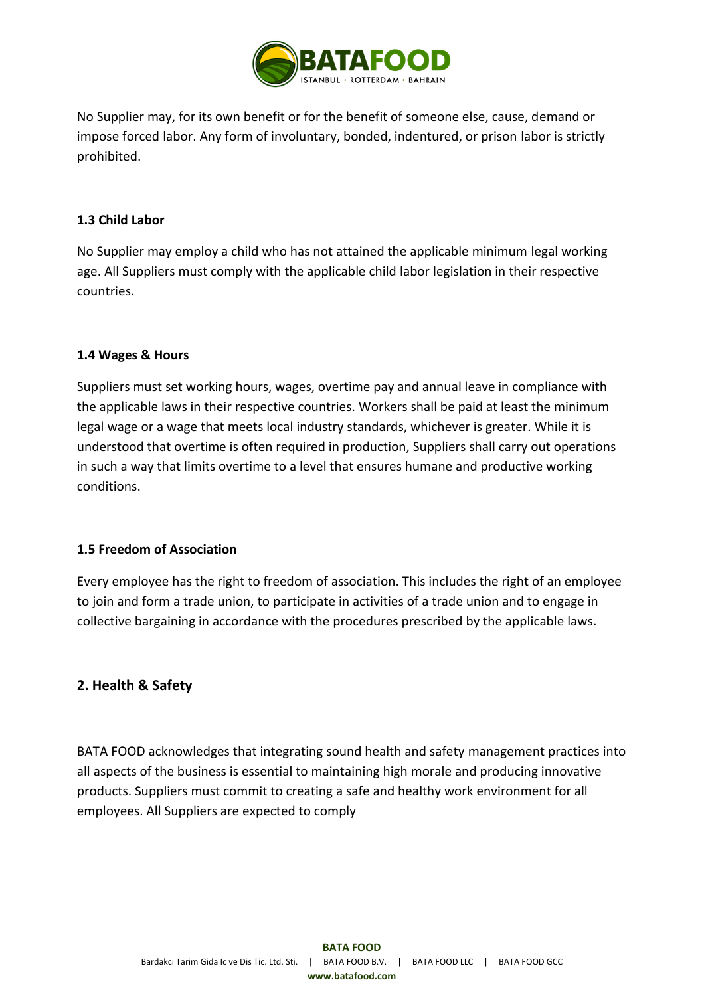

No Supplier may, for its own benefit or for the benefit of someone else, cause, demand or impose forced labor. Any form of involuntary, bonded, indentured, or prison labor is strictly prohibited.

### **1.3 Child Labor**

No Supplier may employ a child who has not attained the applicable minimum legal working age. All Suppliers must comply with the applicable child labor legislation in their respective countries.

### **1.4 Wages & Hours**

Suppliers must set working hours, wages, overtime pay and annual leave in compliance with the applicable laws in their respective countries. Workers shall be paid at least the minimum legal wage or a wage that meets local industry standards, whichever is greater. While it is understood that overtime is often required in production, Suppliers shall carry out operations in such a way that limits overtime to a level that ensures humane and productive working conditions.

### **1.5 Freedom of Association**

Every employee has the right to freedom of association. This includes the right of an employee to join and form a trade union, to participate in activities of a trade union and to engage in collective bargaining in accordance with the procedures prescribed by the applicable laws.

### **2. Health & Safety**

BATA FOOD acknowledges that integrating sound health and safety management practices into all aspects of the business is essential to maintaining high morale and producing innovative products. Suppliers must commit to creating a safe and healthy work environment for all employees. All Suppliers are expected to comply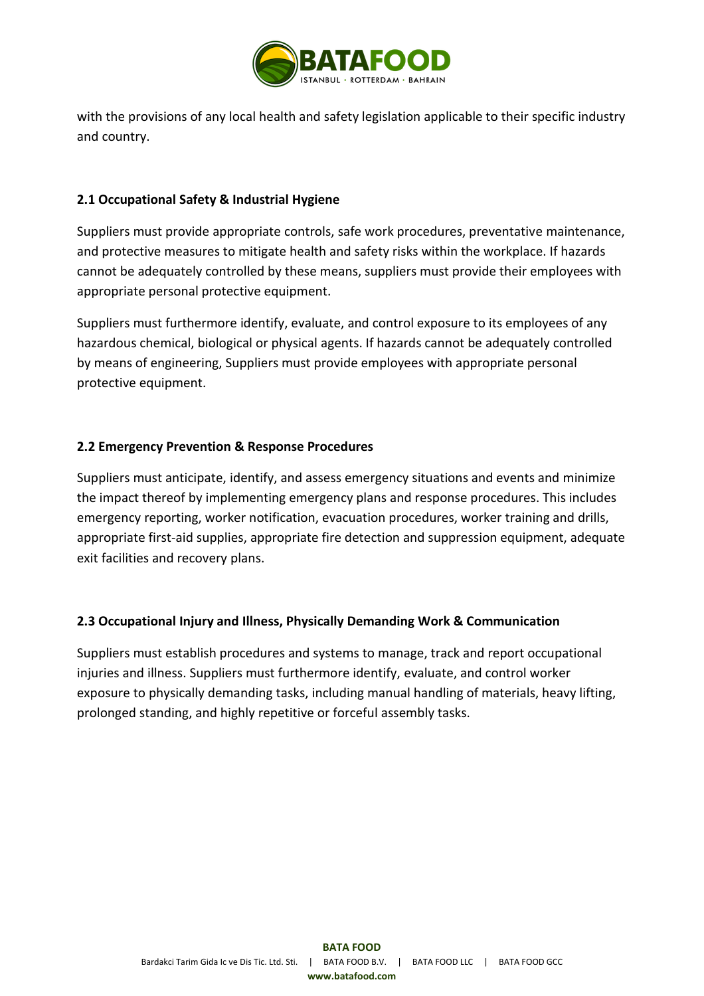

with the provisions of any local health and safety legislation applicable to their specific industry and country.

### **2.1 Occupational Safety & Industrial Hygiene**

Suppliers must provide appropriate controls, safe work procedures, preventative maintenance, and protective measures to mitigate health and safety risks within the workplace. If hazards cannot be adequately controlled by these means, suppliers must provide their employees with appropriate personal protective equipment.

Suppliers must furthermore identify, evaluate, and control exposure to its employees of any hazardous chemical, biological or physical agents. If hazards cannot be adequately controlled by means of engineering, Suppliers must provide employees with appropriate personal protective equipment.

### **2.2 Emergency Prevention & Response Procedures**

Suppliers must anticipate, identify, and assess emergency situations and events and minimize the impact thereof by implementing emergency plans and response procedures. This includes emergency reporting, worker notification, evacuation procedures, worker training and drills, appropriate first-aid supplies, appropriate fire detection and suppression equipment, adequate exit facilities and recovery plans.

#### **2.3 Occupational Injury and Illness, Physically Demanding Work & Communication**

Suppliers must establish procedures and systems to manage, track and report occupational injuries and illness. Suppliers must furthermore identify, evaluate, and control worker exposure to physically demanding tasks, including manual handling of materials, heavy lifting, prolonged standing, and highly repetitive or forceful assembly tasks.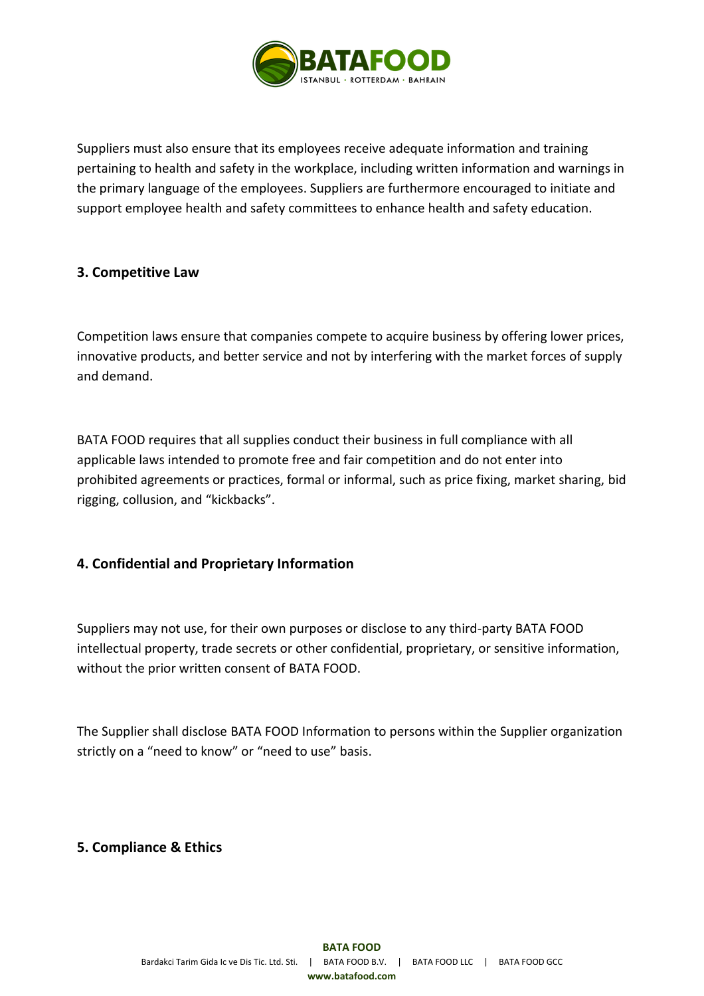

Suppliers must also ensure that its employees receive adequate information and training pertaining to health and safety in the workplace, including written information and warnings in the primary language of the employees. Suppliers are furthermore encouraged to initiate and support employee health and safety committees to enhance health and safety education.

## **3. Competitive Law**

Competition laws ensure that companies compete to acquire business by offering lower prices, innovative products, and better service and not by interfering with the market forces of supply and demand.

BATA FOOD requires that all supplies conduct their business in full compliance with all applicable laws intended to promote free and fair competition and do not enter into prohibited agreements or practices, formal or informal, such as price fixing, market sharing, bid rigging, collusion, and "kickbacks".

# **4. Confidential and Proprietary Information**

Suppliers may not use, for their own purposes or disclose to any third-party BATA FOOD intellectual property, trade secrets or other confidential, proprietary, or sensitive information, without the prior written consent of BATA FOOD.

The Supplier shall disclose BATA FOOD Information to persons within the Supplier organization strictly on a "need to know" or "need to use" basis.

### **5. Compliance & Ethics**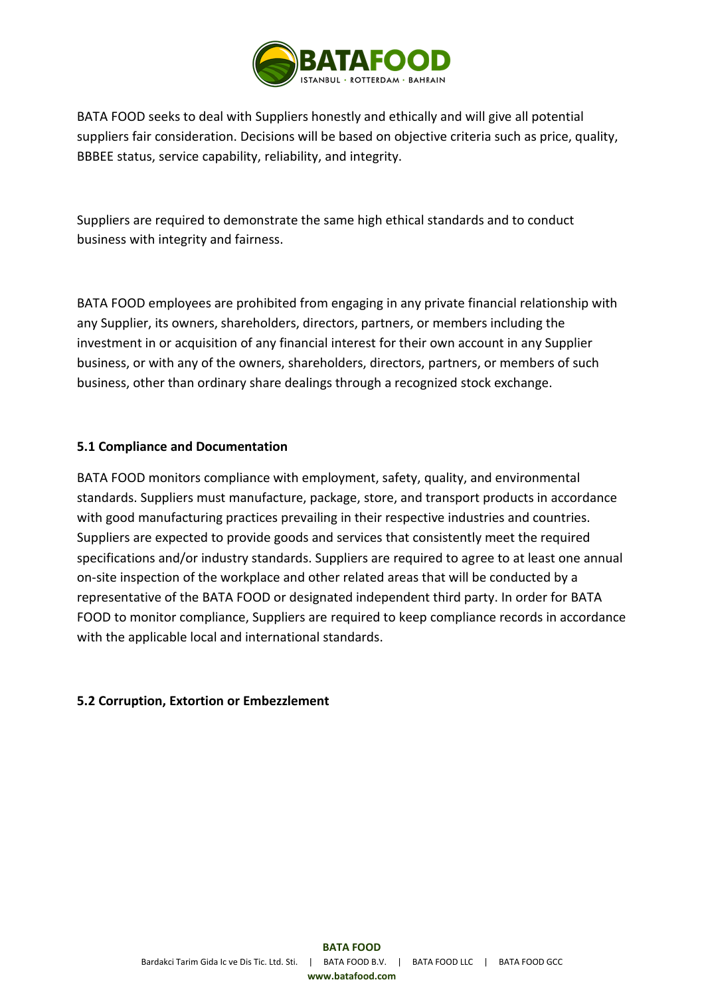

BATA FOOD seeks to deal with Suppliers honestly and ethically and will give all potential suppliers fair consideration. Decisions will be based on objective criteria such as price, quality, BBBEE status, service capability, reliability, and integrity.

Suppliers are required to demonstrate the same high ethical standards and to conduct business with integrity and fairness.

BATA FOOD employees are prohibited from engaging in any private financial relationship with any Supplier, its owners, shareholders, directors, partners, or members including the investment in or acquisition of any financial interest for their own account in any Supplier business, or with any of the owners, shareholders, directors, partners, or members of such business, other than ordinary share dealings through a recognized stock exchange.

### **5.1 Compliance and Documentation**

BATA FOOD monitors compliance with employment, safety, quality, and environmental standards. Suppliers must manufacture, package, store, and transport products in accordance with good manufacturing practices prevailing in their respective industries and countries. Suppliers are expected to provide goods and services that consistently meet the required specifications and/or industry standards. Suppliers are required to agree to at least one annual on-site inspection of the workplace and other related areas that will be conducted by a representative of the BATA FOOD or designated independent third party. In order for BATA FOOD to monitor compliance, Suppliers are required to keep compliance records in accordance with the applicable local and international standards.

#### **5.2 Corruption, Extortion or Embezzlement**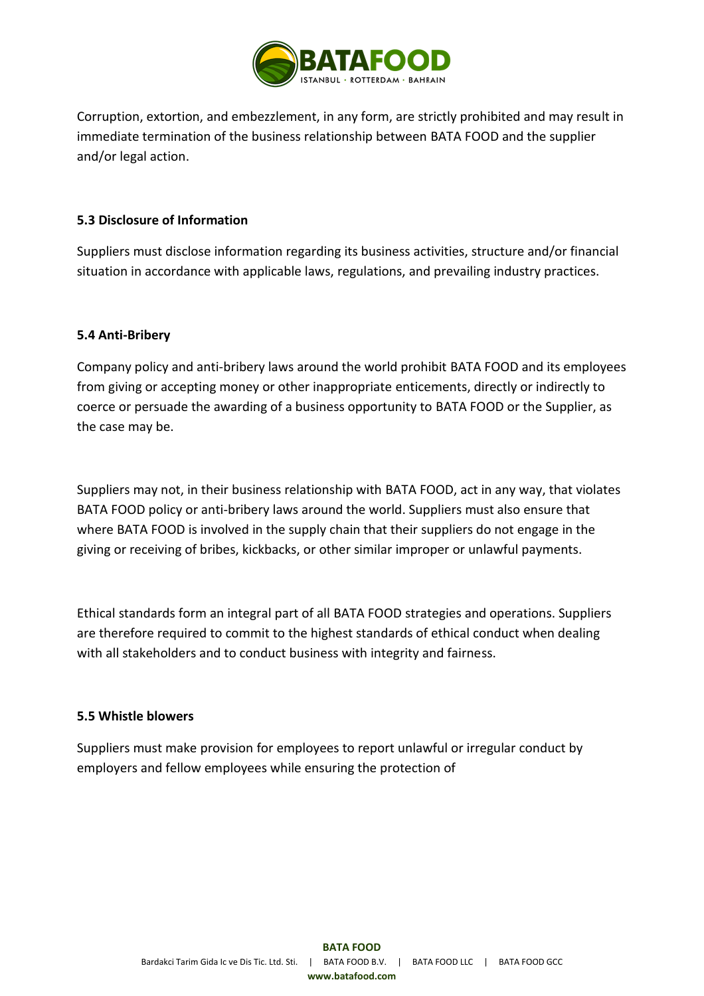

Corruption, extortion, and embezzlement, in any form, are strictly prohibited and may result in immediate termination of the business relationship between BATA FOOD and the supplier and/or legal action.

### **5.3 Disclosure of Information**

Suppliers must disclose information regarding its business activities, structure and/or financial situation in accordance with applicable laws, regulations, and prevailing industry practices.

#### **5.4 Anti-Bribery**

Company policy and anti-bribery laws around the world prohibit BATA FOOD and its employees from giving or accepting money or other inappropriate enticements, directly or indirectly to coerce or persuade the awarding of a business opportunity to BATA FOOD or the Supplier, as the case may be.

Suppliers may not, in their business relationship with BATA FOOD, act in any way, that violates BATA FOOD policy or anti-bribery laws around the world. Suppliers must also ensure that where BATA FOOD is involved in the supply chain that their suppliers do not engage in the giving or receiving of bribes, kickbacks, or other similar improper or unlawful payments.

Ethical standards form an integral part of all BATA FOOD strategies and operations. Suppliers are therefore required to commit to the highest standards of ethical conduct when dealing with all stakeholders and to conduct business with integrity and fairness.

#### **5.5 Whistle blowers**

Suppliers must make provision for employees to report unlawful or irregular conduct by employers and fellow employees while ensuring the protection of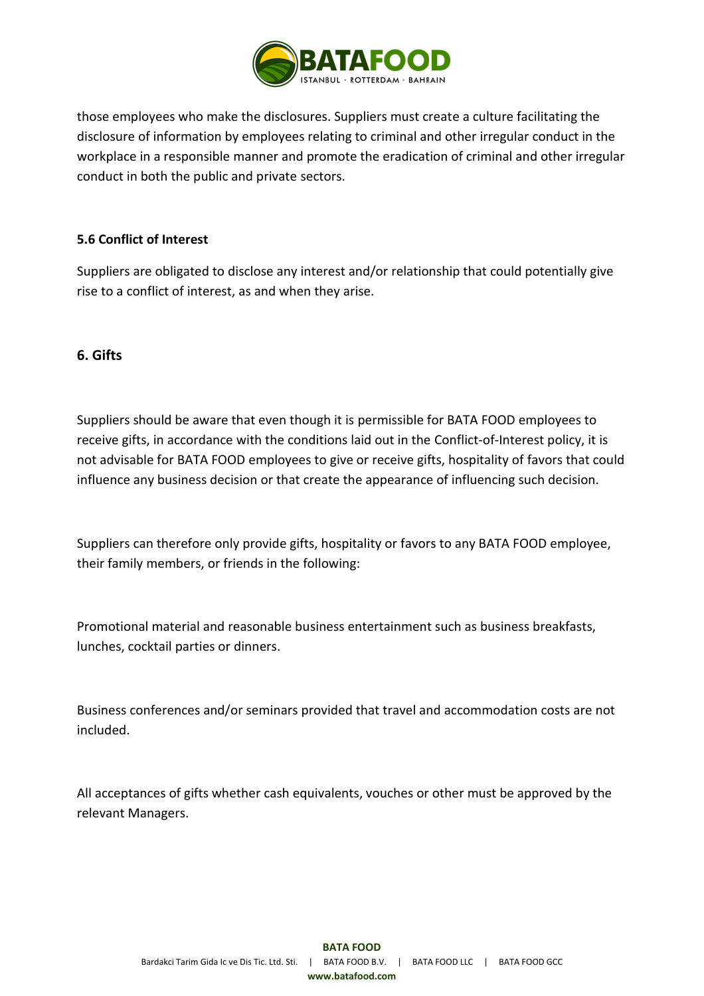

those employees who make the disclosures. Suppliers must create a culture facilitating the disclosure of information by employees relating to criminal and other irregular conduct in the workplace in a responsible manner and promote the eradication of criminal and other irregular conduct in both the public and private sectors.

### **5.6 Conflict of Interest**

Suppliers are obligated to disclose any interest and/or relationship that could potentially give rise to a conflict of interest, as and when they arise.

### **6. Gifts**

Suppliers should be aware that even though it is permissible for BATA FOOD employees to receive gifts, in accordance with the conditions laid out in the Conflict-of-Interest policy, it is not advisable for BATA FOOD employees to give or receive gifts, hospitality of favors that could influence any business decision or that create the appearance of influencing such decision.

Suppliers can therefore only provide gifts, hospitality or favors to any BATA FOOD employee, their family members, or friends in the following:

Promotional material and reasonable business entertainment such as business breakfasts, lunches, cocktail parties or dinners.

Business conferences and/or seminars provided that travel and accommodation costs are not included.

All acceptances of gifts whether cash equivalents, vouches or other must be approved by the relevant Managers.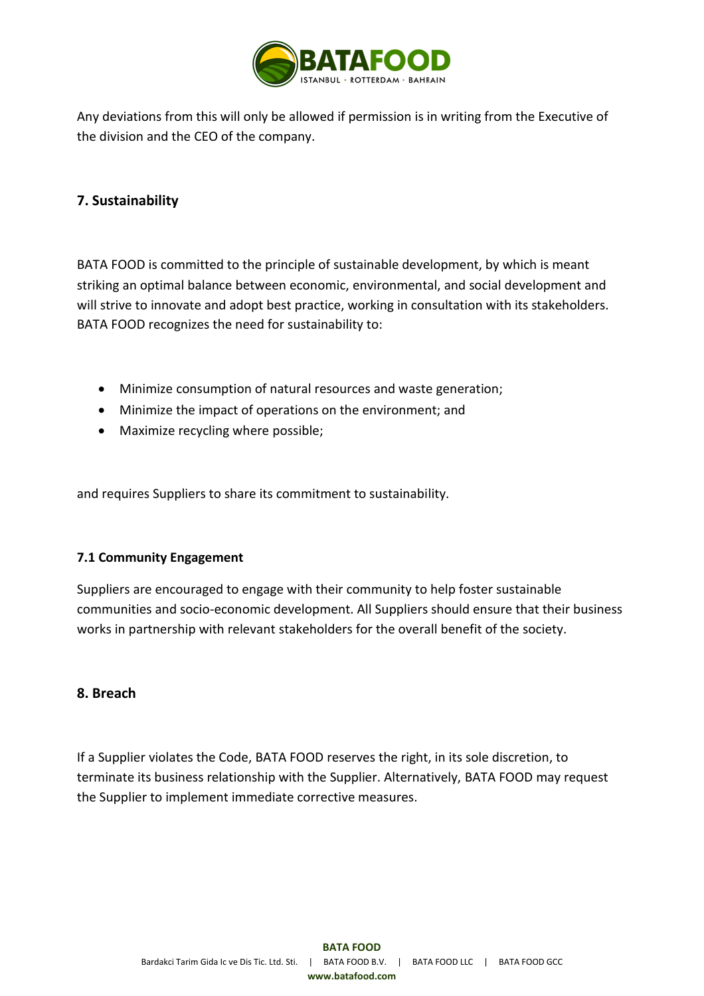

Any deviations from this will only be allowed if permission is in writing from the Executive of the division and the CEO of the company.

# **7. Sustainability**

BATA FOOD is committed to the principle of sustainable development, by which is meant striking an optimal balance between economic, environmental, and social development and will strive to innovate and adopt best practice, working in consultation with its stakeholders. BATA FOOD recognizes the need for sustainability to:

- Minimize consumption of natural resources and waste generation;
- Minimize the impact of operations on the environment; and
- Maximize recycling where possible;

and requires Suppliers to share its commitment to sustainability.

#### **7.1 Community Engagement**

Suppliers are encouraged to engage with their community to help foster sustainable communities and socio-economic development. All Suppliers should ensure that their business works in partnership with relevant stakeholders for the overall benefit of the society.

#### **8. Breach**

If a Supplier violates the Code, BATA FOOD reserves the right, in its sole discretion, to terminate its business relationship with the Supplier. Alternatively, BATA FOOD may request the Supplier to implement immediate corrective measures.